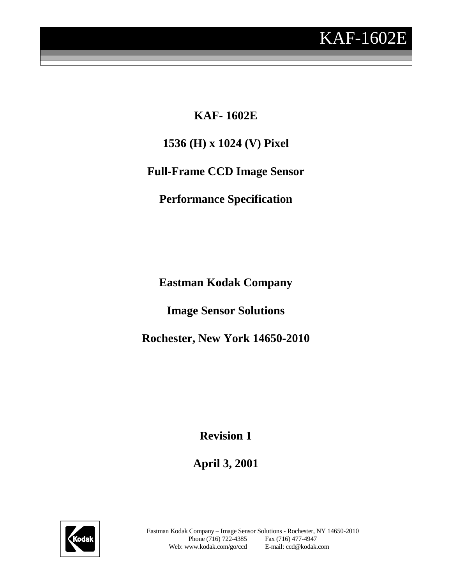

**KAF- 1602E 1536 (H) x 1024 (V) Pixel Full-Frame CCD Image Sensor Performance Specification**

**Eastman Kodak Company**

**Image Sensor Solutions**

**Rochester, New York 14650-2010**

**Revision 1**

**April 3, 2001**

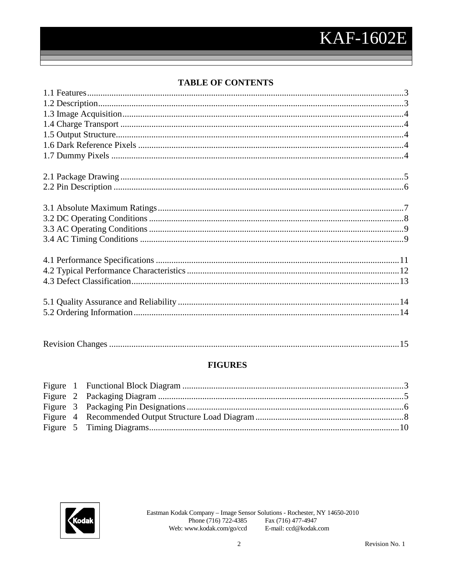# **TABLE OF CONTENTS**

|--|

### **FIGURES**

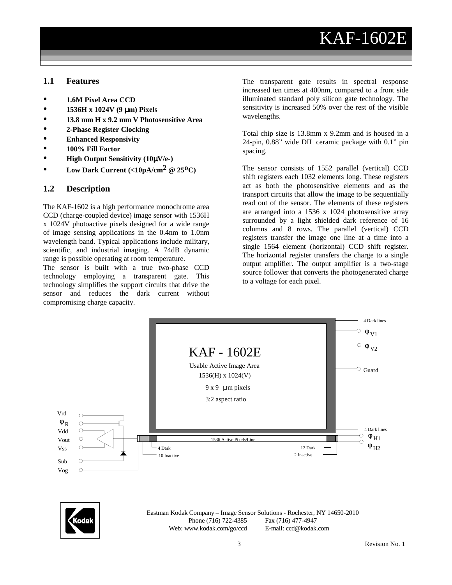# KAF-1602E

#### **1.1 Features**

- **1.6M Pixel Area CCD**
- **1536H x 1024V (9** µ**m) Pixels**
- **13.8 mm H x 9.2 mm V Photosensitive Area**
- **2-Phase Register Clocking**
- **Enhanced Responsivity**
- **100% Fill Factor**
- **High Output Sensitivity (10**µ**V/e-)**
- **•** Low Dark Current  $\left| \langle 10pA/cm^2 \otimes 25^0C \rangle \right|$

#### **1.2 Description**

The KAF-1602 is a high performance monochrome area CCD (charge-coupled device) image sensor with 1536H x 1024V photoactive pixels designed for a wide range of image sensing applications in the 0.4nm to 1.0nm wavelength band. Typical applications include military, scientific, and industrial imaging. A 74dB dynamic range is possible operating at room temperature.

The sensor is built with a true two-phase CCD technology employing a transparent gate. This technology simplifies the support circuits that drive the sensor and reduces the dark current without compromising charge capacity.

The transparent gate results in spectral response increased ten times at 400nm, compared to a front side illuminated standard poly silicon gate technology. The sensitivity is increased 50% over the rest of the visible wavelengths.

Total chip size is 13.8mm x 9.2mm and is housed in a 24-pin, 0.88" wide DIL ceramic package with 0.1" pin spacing.

The sensor consists of 1552 parallel (vertical) CCD shift registers each 1032 elements long. These registers act as both the photosensitive elements and as the transport circuits that allow the image to be sequentially read out of the sensor. The elements of these registers are arranged into a 1536 x 1024 photosensitive array surrounded by a light shielded dark reference of 16 columns and 8 rows. The parallel (vertical) CCD registers transfer the image one line at a time into a single 1564 element (horizontal) CCD shift register. The horizontal register transfers the charge to a single output amplifier. The output amplifier is a two-stage source follower that converts the photogenerated charge to a voltage for each pixel.



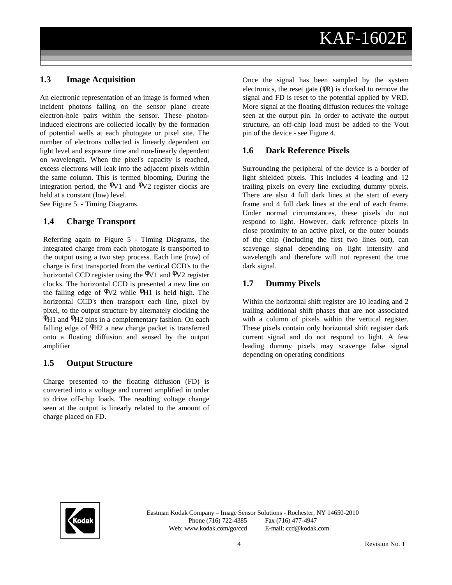#### **1.3 Image Acquisition**

An electronic representation of an image is formed when incident photons falling on the sensor plane create electron-hole pairs within the sensor. These photoninduced electrons are collected locally by the formation of potential wells at each photogate or pixel site. The number of electrons collected is linearly dependent on light level and exposure time and non-linearly dependent on wavelength. When the pixel's capacity is reached, excess electrons will leak into the adjacent pixels within the same column. This is termed blooming. During the integration period, the  $\Phi$ V1 and  $\Phi$ V2 register clocks are held at a constant (low) level.

See Figure 5. - Timing Diagrams.

#### **1.4 Charge Transport**

Referring again to Figure 5 - Timing Diagrams, the integrated charge from each photogate is transported to the output using a two step process. Each line (row) of charge is first transported from the vertical CCD's to the horizontal CCD register using the  $\Phi$ V1 and  $\Phi$ V2 register clocks. The horizontal CCD is presented a new line on the falling edge of  $\Phi$ V2 while  $\Phi$ H1 is held high. The horizontal CCD's then transport each line, pixel by pixel, to the output structure by alternately clocking the  $\Phi$ H1 and  $\Phi$ H2 pins in a complementary fashion. On each falling edge of  $\Phi$ H2 a new charge packet is transferred onto a floating diffusion and sensed by the output amplifier

#### **1.5 Output Structure**

Charge presented to the floating diffusion (FD) is converted into a voltage and current amplified in order to drive off-chip loads. The resulting voltage change seen at the output is linearly related to the amount of charge placed on FD.

Once the signal has been sampled by the system electronics, the reset gate  $(\phi \mathbf{R})$  is clocked to remove the signal and FD is reset to the potential applied by VRD. More signal at the floating diffusion reduces the voltage seen at the output pin. In order to activate the output structure, an off-chip load must be added to the Vout pin of the device - see Figure 4.

#### **1.6 Dark Reference Pixels**

Surrounding the peripheral of the device is a border of light shielded pixels. This includes 4 leading and 12 trailing pixels on every line excluding dummy pixels. There are also 4 full dark lines at the start of every frame and 4 full dark lines at the end of each frame. Under normal circumstances, these pixels do not respond to light. However, dark reference pixels in close proximity to an active pixel, or the outer bounds of the chip (including the first two lines out), can scavenge signal depending on light intensity and wavelength and therefore will not represent the true dark signal.

#### **1.7 Dummy Pixels**

Within the horizontal shift register are 10 leading and 2 trailing additional shift phases that are not associated with a column of pixels within the vertical register. These pixels contain only horizontal shift register dark current signal and do not respond to light. A few leading dummy pixels may scavenge false signal depending on operating conditions

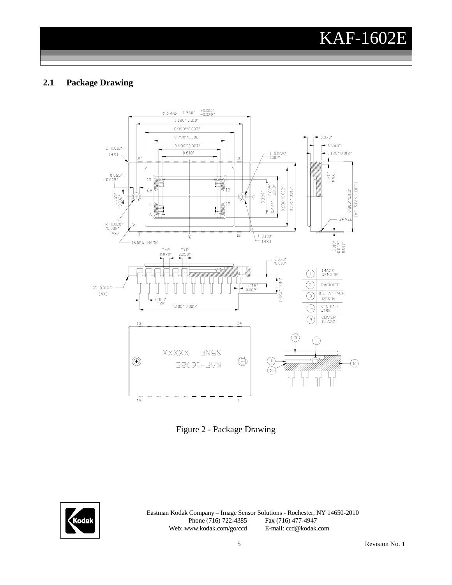KAF-1602E

#### **2.1 Package Drawing**



Figure 2 - Package Drawing

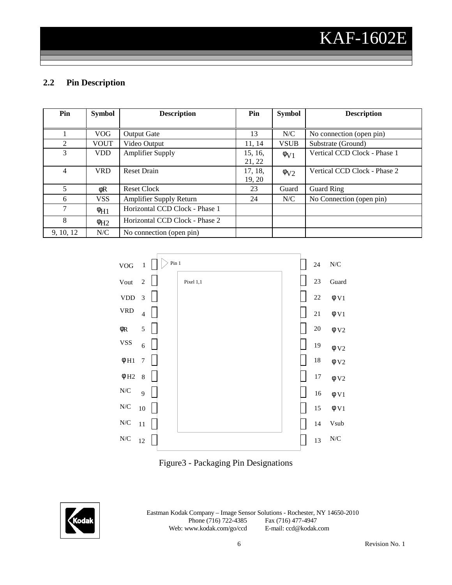## **2.2 Pin Description**

| Pin       | <b>Symbol</b>         | <b>Description</b>             | Pin     | <b>Symbol</b>        | <b>Description</b>           |
|-----------|-----------------------|--------------------------------|---------|----------------------|------------------------------|
|           |                       |                                |         |                      |                              |
|           | <b>VOG</b>            | <b>Output Gate</b>             | 13      | N/C                  | No connection (open pin)     |
| 2         | <b>VOUT</b>           | Video Output                   | 11.14   | <b>VSUB</b>          | Substrate (Ground)           |
| 3         | <b>VDD</b>            | <b>Amplifier Supply</b>        | 15, 16, | $\phi$ <sub>V1</sub> | Vertical CCD Clock - Phase 1 |
|           |                       |                                | 21, 22  |                      |                              |
| 4         | <b>VRD</b>            | <b>Reset Drain</b>             | 17, 18, | $\phi$ <sub>V2</sub> | Vertical CCD Clock - Phase 2 |
|           |                       |                                | 19, 20  |                      |                              |
| 5         | φR                    | <b>Reset Clock</b>             | 23      | Guard                | <b>Guard Ring</b>            |
| 6         | <b>VSS</b>            | <b>Amplifier Supply Return</b> | 24      | N/C                  | No Connection (open pin)     |
| 7         | $\Phi$ H <sub>1</sub> | Horizontal CCD Clock - Phase 1 |         |                      |                              |
| 8         | $\Phi$ H <sub>2</sub> | Horizontal CCD Clock - Phase 2 |         |                      |                              |
| 9, 10, 12 | N/C                   | No connection (open pin)       |         |                      |                              |





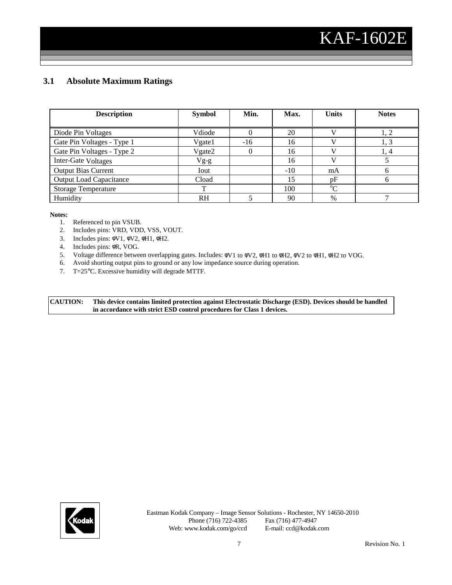### **3.1 Absolute Maximum Ratings**

| <b>Description</b>             | <b>Symbol</b> | Min.     | Max.  | <b>Units</b> | <b>Notes</b> |
|--------------------------------|---------------|----------|-------|--------------|--------------|
|                                |               |          |       |              |              |
| Diode Pin Voltages             | Vdiode        | $\Omega$ | 20    |              |              |
| Gate Pin Voltages - Type 1     | Vgate1        | $-16$    | 16    |              | 1, 3         |
| Gate Pin Voltages - Type 2     | Vgate2        | $\theta$ | 16    |              | 1, 4         |
| Inter-Gate Voltages            | $Vg-g$        |          | 16    |              |              |
| <b>Output Bias Current</b>     | Iout          |          | $-10$ | mA           | <sub>0</sub> |
| <b>Output Load Capacitance</b> | Cload         |          | 15    | pF           | 6            |
| <b>Storage Temperature</b>     | ᠇᠇            |          | 100   | $^{\circ}C$  |              |
| Humidity                       | <b>RH</b>     |          | 90    | $\%$         |              |

#### **Notes:**

- 1. Referenced to pin VSUB.
- 2. Includes pins: VRD, VDD, VSS, VOUT.
- 3. Includes pins: φV1, φV2, φH1, φH2.
- 4. Includes pins: φR, VOG.
- 5. Voltage difference between overlapping gates. Includes: φV1 to φV2, φH1 to φH2, φV2 to φH1, φH2 to VOG.
- 6. Avoid shorting output pins to ground or any low impedance source during operation.
- 7. T=25°C. Excessive humidity will degrade MTTF.

**CAUTION: This device contains limited protection against Electrostatic Discharge (ESD). Devices should be handled in accordance with strict ESD control procedures for Class 1 devices.**

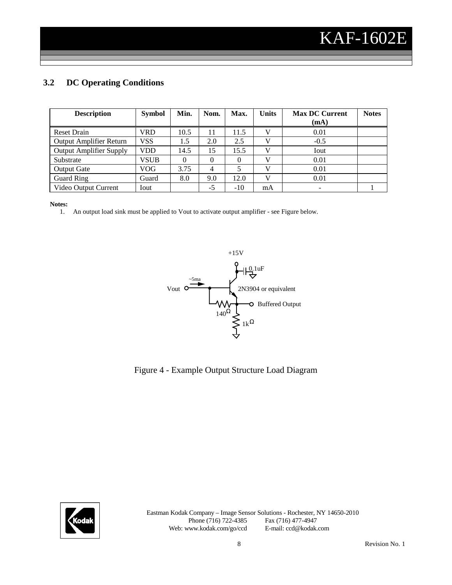## **3.2 DC Operating Conditions**

| <b>Description</b>             | <b>Symbol</b> | Min. | Nom.           | Max.  | Units | <b>Max DC Current</b> | <b>Notes</b> |
|--------------------------------|---------------|------|----------------|-------|-------|-----------------------|--------------|
|                                |               |      |                |       |       | (mA)                  |              |
| <b>Reset Drain</b>             | VRD           | 10.5 | 11             | 11.5  | V     | 0.01                  |              |
| Output Amplifier Return        | <b>VSS</b>    | 1.5  | 2.0            | 2.5   |       | $-0.5$                |              |
| <b>Output Amplifier Supply</b> | <b>VDD</b>    | 14.5 | 15             | 15.5  | V     | Iout                  |              |
| Substrate                      | <b>VSUB</b>   |      |                |       |       | 0.01                  |              |
| <b>Output Gate</b>             | VOG           | 3.75 | $\overline{4}$ |       | V     | 0.01                  |              |
| Guard Ring                     | Guard         | 8.0  | 9.0            | 12.0  | V     | 0.01                  |              |
| Video Output Current           | Iout          |      | $-5$           | $-10$ | mA    |                       |              |

#### **Notes:**

1. An output load sink must be applied to Vout to activate output amplifier - see Figure below.



### Figure 4 - Example Output Structure Load Diagram

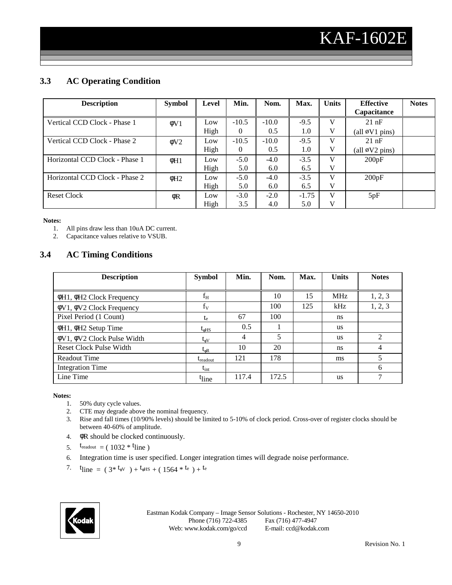## **3.3 AC Operating Condition**

| <b>Description</b>             | <b>Symbol</b>         | Level | Min.     | Nom.    | Max.    | <b>Units</b> | <b>Effective</b><br>Capacitance | <b>Notes</b> |
|--------------------------------|-----------------------|-------|----------|---------|---------|--------------|---------------------------------|--------------|
|                                |                       |       |          |         |         |              |                                 |              |
| Vertical CCD Clock - Phase 1   | $\phi$ V <sub>1</sub> | Low   | $-10.5$  | $-10.0$ | $-9.5$  | V            | $21$ nF                         |              |
|                                |                       | High  | $\theta$ | 0.5     | 1.0     | V            | (all $\phi$ V1 pins)            |              |
| Vertical CCD Clock - Phase 2   | $\phi$ V2             | Low   | $-10.5$  | $-10.0$ | $-9.5$  | v            | 21 nF                           |              |
|                                |                       | High  | $\theta$ | 0.5     | 1.0     | V            | (all $\emptyset$ V2 pins)       |              |
| Horizontal CCD Clock - Phase 1 | $\phi H1$             | Low   | $-5.0$   | $-4.0$  | $-3.5$  | V            | 200pF                           |              |
|                                |                       | High  | 5.0      | 6.0     | 6.5     | v            |                                 |              |
| Horizontal CCD Clock - Phase 2 | $\phi$ H <sub>2</sub> | Low   | $-5.0$   | $-4.0$  | $-3.5$  | V            | 200pF                           |              |
|                                |                       | High  | 5.0      | 6.0     | 6.5     | v            |                                 |              |
| <b>Reset Clock</b>             | $\phi$ R              | Low   | $-3.0$   | $-2.0$  | $-1.75$ | V            | 5pF                             |              |
|                                |                       | High  | 3.5      | 4.0     | 5.0     | V            |                                 |              |

**Notes:**

1. All pins draw less than 10uA DC current.

2. Capacitance values relative to VSUB.

#### **3.4 AC Timing Conditions**

| <b>Description</b>                     | <b>Symbol</b>        | Min.           | Nom.  | Max. | <b>Units</b> | <b>Notes</b>   |
|----------------------------------------|----------------------|----------------|-------|------|--------------|----------------|
|                                        |                      |                |       |      |              |                |
| $\phi$ H1, $\phi$ H2 Clock Frequency   | $f_H$                |                | 10    | 15   | <b>MHz</b>   | 1, 2, 3        |
| $\phi$ V1, $\phi$ V2 Clock Frequency   | $f_V$                |                | 100   | 125  | kHz          | 1, 2, 3        |
| Pixel Period (1 Count)                 | te                   | 67             | 100   |      | ns           |                |
| φH1, φH2 Setup Time                    | $t_{\phi HS}$        | 0.5            |       |      | <b>us</b>    |                |
| $\phi$ V1, $\phi$ V2 Clock Pulse Width | $t_{\rm oV}$         | $\overline{4}$ | 5     |      | us           | $\overline{c}$ |
| <b>Reset Clock Pulse Width</b>         | $t_{\phi R}$         | 10             | 20    |      | ns           | 4              |
| Readout Time                           | $t_{\text{readout}}$ | 121            | 178   |      | ms           | 5              |
| <b>Integration Time</b>                | $t_{int}$            |                |       |      |              | 6              |
| Line Time                              | <sup>t</sup> line    | 117.4          | 172.5 |      | <b>us</b>    | 7              |

**Notes:**

- 1. 50% duty cycle values.
- 2. CTE may degrade above the nominal frequency.
- 3. Rise and fall times (10/90% levels) should be limited to 5-10% of clock period. Cross-over of register clocks should be between 40-60% of amplitude.
- 4. φR should be clocked continuously.
- 5.  $t_{\text{readout}} = (1032 * t)$
- 6. Integration time is user specified. Longer integration times will degrade noise performance.
- 7. t<sub>line</sub> =  $(3 * t_{\text{eV}}) + t_{\text{eHS}} + (1564 * t_{\text{e}}) + t_{\text{e}}$

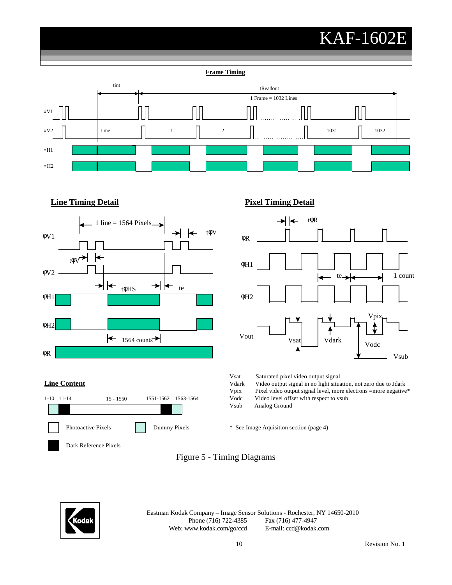# KAF-1602E

**Frame Timing**







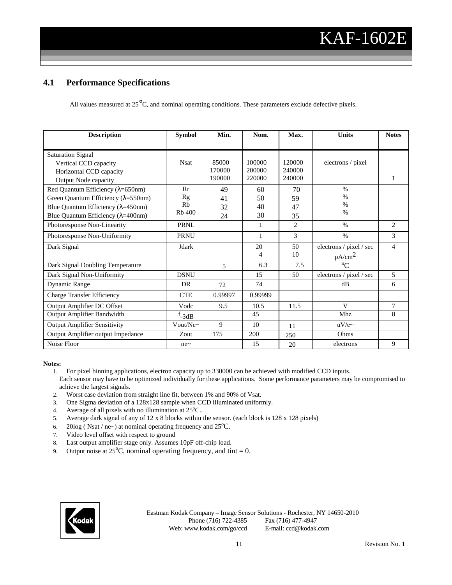#### **4.1 Performance Specifications**

All values measured at  $25^{\circ}$ C, and nominal operating conditions. These parameters exclude defective pixels.

| <b>Description</b>                            | <b>Symbol</b> | Min.    | Nom.    | Max.           | Units                   | <b>Notes</b>   |
|-----------------------------------------------|---------------|---------|---------|----------------|-------------------------|----------------|
|                                               |               |         |         |                |                         |                |
| <b>Saturation Signal</b>                      |               |         |         |                |                         |                |
| Vertical CCD capacity                         | <b>Nsat</b>   | 85000   | 100000  | 120000         | electrons / pixel       |                |
| Horizontal CCD capacity                       |               | 170000  | 200000  | 240000         |                         |                |
| Output Node capacity                          |               | 190000  | 220000  | 240000         |                         |                |
| Red Quantum Efficiency ( $\lambda$ =650nm)    | Rr            | 49      | 60      | 70             | $\%$                    |                |
| Green Quantum Efficiency $(\lambda = 550$ nm) | Rg            | 41      | 50      | 59             | $\%$                    |                |
| Blue Quantum Efficiency ( $\lambda$ =450nm)   | Rb            | 32      | 40      | 47             | $\%$                    |                |
| Blue Quantum Efficiency ( $\lambda$ =400nm)   | <b>Rb</b> 400 | 24      | 30      | 35             | $\%$                    |                |
| Photoresponse Non-Linearity                   | <b>PRNL</b>   |         | 1       | $\overline{c}$ | $\%$                    | 2              |
| Photoresponse Non-Uniformity                  | <b>PRNU</b>   |         | 1       | $\mathcal{E}$  | $\%$                    | 3              |
| Dark Signal                                   | Jdark         |         | 20      | 50             | electrons / pixel / sec | $\overline{4}$ |
|                                               |               |         | 4       | 10             | $pA/cm^2$               |                |
| Dark Signal Doubling Temperature              |               | 5       | 6.3     | 7.5            | $^{\circ}C$             |                |
| Dark Signal Non-Uniformity                    | <b>DSNU</b>   |         | 15      | 50             | electrons / pixel / sec | 5              |
| Dynamic Range                                 | DR            | 72      | 74      |                | dB                      | 6              |
| <b>Charge Transfer Efficiency</b>             | <b>CTE</b>    | 0.99997 | 0.99999 |                |                         |                |
| Output Amplifier DC Offset                    | Vodc          | 9.5     | 10.5    | 11.5           | V                       | $\overline{7}$ |
| Output Amplifier Bandwidth                    | $f_{-3dB}$    |         | 45      |                | Mhz                     | 8              |
| <b>Output Amplifier Sensitivity</b>           | Vout/Ne~      | 9       | 10      | 11             | $uV/e$ ~                |                |
| Output Amplifier output Impedance             | Zout          | 175     | 200     | 250            | Ohms                    |                |
| Noise Floor                                   | ne~           |         | 15      | 20             | electrons               | 9              |

#### **Notes:**

- 1. For pixel binning applications, electron capacity up to 330000 can be achieved with modified CCD inputs. Each sensor may have to be optimized individually for these applications. Some performance parameters may be compromised to achieve the largest signals.
- 2. Worst case deviation from straight line fit, between 1% and 90% of Vsat.
- 3. One Sigma deviation of a 128x128 sample when CCD illuminated uniformly.
- 4. Average of all pixels with no illumination at  $25^{\circ}$ C..
- 5. Average dark signal of any of 12 x 8 blocks within the sensor. (each block is 128 x 128 pixels)
- 6. 20log (Nsat / ne~) at nominal operating frequency and  $25^{\circ}$ C.
- 7. Video level offset with respect to ground
- 8. Last output amplifier stage only. Assumes 10pF off-chip load.
- 9. Output noise at  $25^{\circ}$ C, nominal operating frequency, and tint = 0.

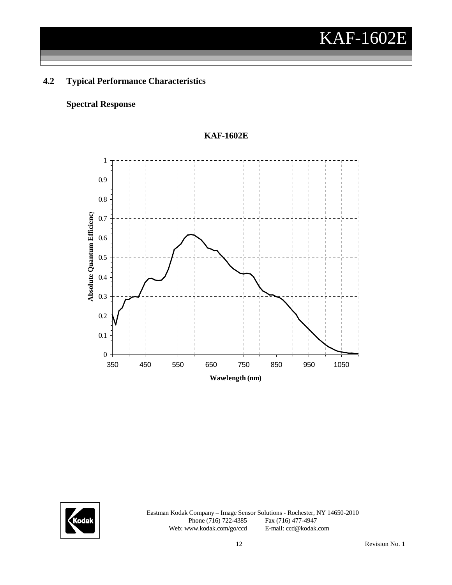## **4.2 Typical Performance Characteristics**

#### **Spectral Response**



#### **KAF-1602E**

![](_page_11_Picture_5.jpeg)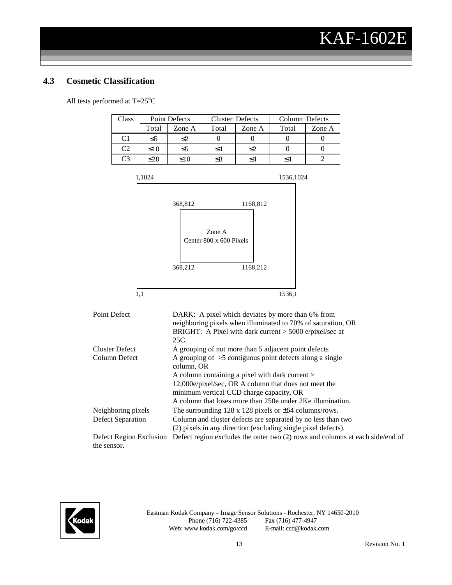#### **4.3 Cosmetic Classification**

All tests performed at  $T=25^{\circ}C$ 

| Class          |           | <b>Point Defects</b> | <b>Cluster Defects</b> |        | Column Defects |        |  |
|----------------|-----------|----------------------|------------------------|--------|----------------|--------|--|
|                | Total     | Zone A               | Total                  | Zone A | Total          | Zone A |  |
| C <sub>1</sub> | $\leq 5$  | ≤2                   |                        |        |                |        |  |
| C2             | $\leq 10$ | $\leq 5$             | <4                     | ≤2     |                |        |  |
| C <sup>3</sup> | <20       | <10                  |                        | <4     |                |        |  |

![](_page_12_Figure_4.jpeg)

| Point Defect            | DARK: A pixel which deviates by more than 6% from                             |
|-------------------------|-------------------------------------------------------------------------------|
|                         | neighboring pixels when illuminated to 70% of saturation, OR                  |
|                         | BRIGHT: A Pixel with dark current $>$ 5000 e/pixel/sec at                     |
|                         | 25C.                                                                          |
| <b>Cluster Defect</b>   | A grouping of not more than 5 adjacent point defects                          |
| Column Defect           | A grouping of $>5$ contiguous point defects along a single                    |
|                         | column, OR                                                                    |
|                         | A column containing a pixel with dark current >                               |
|                         | 12,000e/pixel/sec, OR A column that does not meet the                         |
|                         | minimum vertical CCD charge capacity, OR                                      |
|                         | A column that loses more than 250e under 2Ke illumination.                    |
| Neighboring pixels      | The surrounding $128 \times 128$ pixels or $\pm 64$ columns/rows.             |
| Defect Separation       | Column and cluster defects are separated by no less than two                  |
|                         | (2) pixels in any direction (excluding single pixel defects).                 |
| Defect Region Exclusion | Defect region excludes the outer two (2) rows and columns at each side/end of |
| the sensor.             |                                                                               |

![](_page_12_Picture_6.jpeg)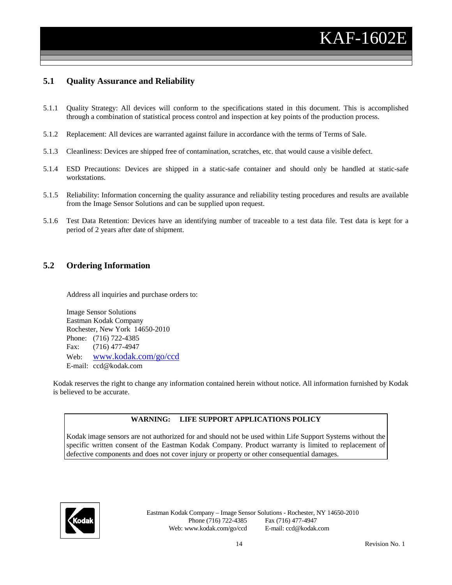#### **5.1 Quality Assurance and Reliability**

- 5.1.1 Quality Strategy: All devices will conform to the specifications stated in this document. This is accomplished through a combination of statistical process control and inspection at key points of the production process.
- 5.1.2 Replacement: All devices are warranted against failure in accordance with the terms of Terms of Sale.
- 5.1.3 Cleanliness: Devices are shipped free of contamination, scratches, etc. that would cause a visible defect.
- 5.1.4 ESD Precautions: Devices are shipped in a static-safe container and should only be handled at static-safe workstations.
- 5.1.5 Reliability: Information concerning the quality assurance and reliability testing procedures and results are available from the Image Sensor Solutions and can be supplied upon request.
- 5.1.6 Test Data Retention: Devices have an identifying number of traceable to a test data file. Test data is kept for a period of 2 years after date of shipment.

#### **5.2 Ordering Information**

Address all inquiries and purchase orders to:

Image Sensor Solutions Eastman Kodak Company Rochester, New York 14650-2010 Phone: (716) 722-4385 Fax: (716) 477-4947 Web: www.kodak.com/go/ccd E-mail: ccd@kodak.com

Kodak reserves the right to change any information contained herein without notice. All information furnished by Kodak is believed to be accurate.

#### **WARNING: LIFE SUPPORT APPLICATIONS POLICY**

Kodak image sensors are not authorized for and should not be used within Life Support Systems without the specific written consent of the Eastman Kodak Company. Product warranty is limited to replacement of defective components and does not cover injury or property or other consequential damages.

![](_page_13_Picture_14.jpeg)